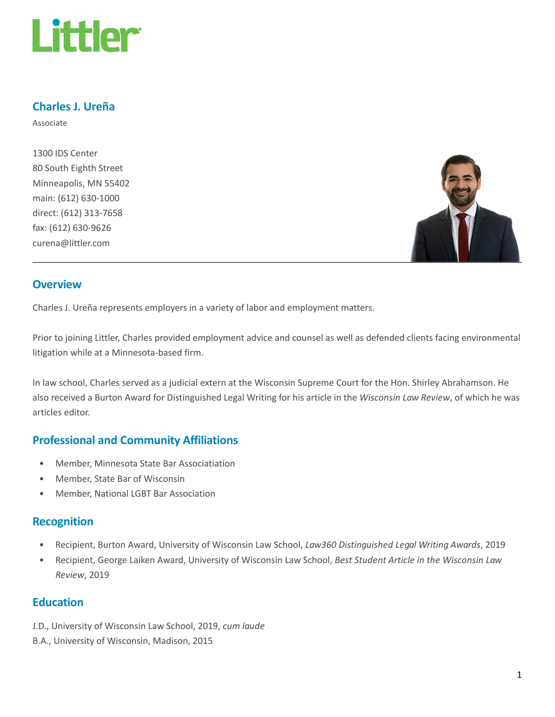

## Charles J. Ureña

Associate

1300 IDS Center 80 South Eighth Street Minneapolis, MN 55402 main: (612) 630-1000 direct: (612) 313-7658 fax: (612) 630-9626 curena@littler.com



#### **Overview**

Charles J. Ureña represents employers in a variety of labor and employment matters.

Prior to joining Littler, Charles provided employment advice and counsel as well as defended clients facing environmental litigation while at a Minnesota-based firm.

In law school, Charles served as a judicial extern at the Wisconsin Supreme Court for the Hon. Shirley Abrahamson. He also received a Burton Award for Distinguished Legal Writing for his article in the Wisconsin Law Review, of which he was articles editor.

## Professional and Community Affiliations

- Member, Minnesota State Bar Associatiation
- Member, State Bar of Wisconsin
- Member, National LGBT Bar Association

### Recognition

- Recipient, Burton Award, University of Wisconsin Law School, Law360 Distinguished Legal Writing Awards, 2019
- Recipient, George Laiken Award, University of Wisconsin Law School, Best Student Article in the Wisconsin Law Review, 2019

#### Education

- J.D., University of Wisconsin Law School, 2019, cum laude
- B.A., University of Wisconsin, Madison, 2015